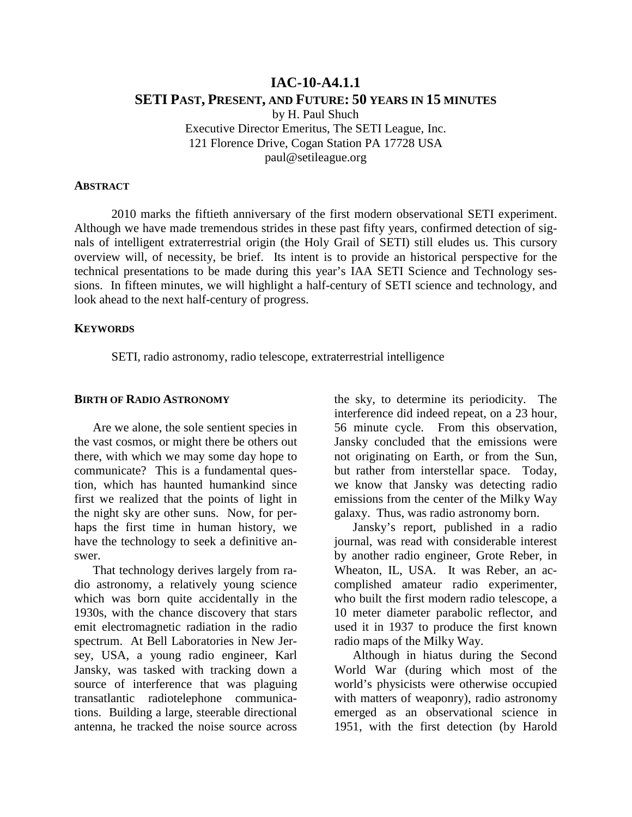# **IAC-10-A4.1.1 SETI PAST, PRESENT, AND FUTURE: 50 YEARS IN 15 MINUTES** by H. Paul Shuch Executive Director Emeritus, The SETI League, Inc. 121 Florence Drive, Cogan Station PA 17728 USA paul@setileague.org

### **ABSTRACT**

 2010 marks the fiftieth anniversary of the first modern observational SETI experiment. Although we have made tremendous strides in these past fifty years, confirmed detection of signals of intelligent extraterrestrial origin (the Holy Grail of SETI) still eludes us. This cursory overview will, of necessity, be brief. Its intent is to provide an historical perspective for the technical presentations to be made during this year's IAA SETI Science and Technology sessions. In fifteen minutes, we will highlight a half-century of SETI science and technology, and look ahead to the next half-century of progress.

### **KEYWORDS**

SETI, radio astronomy, radio telescope, extraterrestrial intelligence

#### **BIRTH OF RADIO ASTRONOMY**

 Are we alone, the sole sentient species in the vast cosmos, or might there be others out there, with which we may some day hope to communicate? This is a fundamental question, which has haunted humankind since first we realized that the points of light in the night sky are other suns. Now, for perhaps the first time in human history, we have the technology to seek a definitive answer.

That technology derives largely from radio astronomy, a relatively young science which was born quite accidentally in the 1930s, with the chance discovery that stars emit electromagnetic radiation in the radio spectrum. At Bell Laboratories in New Jersey, USA, a young radio engineer, Karl Jansky, was tasked with tracking down a source of interference that was plaguing transatlantic radiotelephone communications. Building a large, steerable directional antenna, he tracked the noise source across

the sky, to determine its periodicity. The interference did indeed repeat, on a 23 hour, 56 minute cycle. From this observation, Jansky concluded that the emissions were not originating on Earth, or from the Sun, but rather from interstellar space. Today, we know that Jansky was detecting radio emissions from the center of the Milky Way galaxy. Thus, was radio astronomy born.

Jansky's report, published in a radio journal, was read with considerable interest by another radio engineer, Grote Reber, in Wheaton, IL, USA. It was Reber, an accomplished amateur radio experimenter, who built the first modern radio telescope, a 10 meter diameter parabolic reflector, and used it in 1937 to produce the first known radio maps of the Milky Way.

Although in hiatus during the Second World War (during which most of the world's physicists were otherwise occupied with matters of weaponry), radio astronomy emerged as an observational science in 1951, with the first detection (by Harold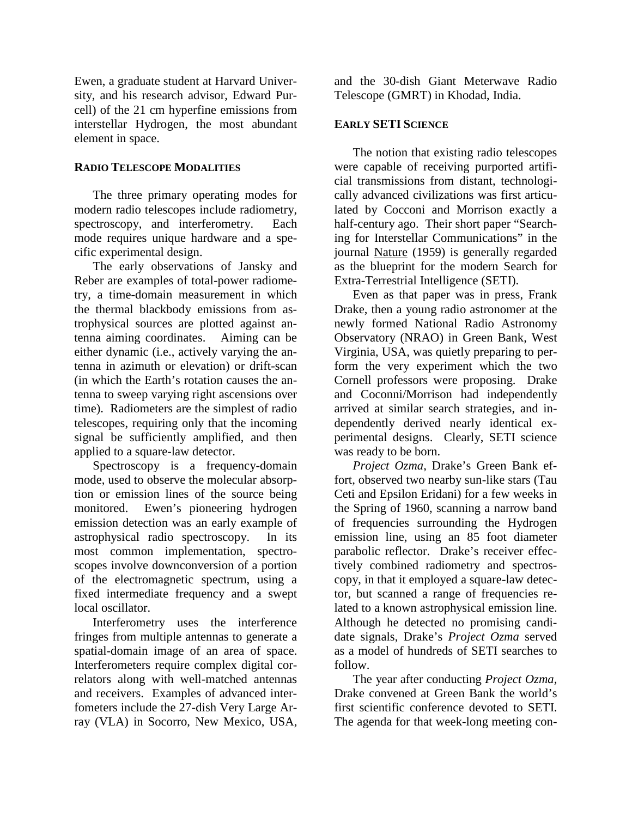Ewen, a graduate student at Harvard University, and his research advisor, Edward Purcell) of the 21 cm hyperfine emissions from interstellar Hydrogen, the most abundant element in space.

### **RADIO TELESCOPE MODALITIES**

The three primary operating modes for modern radio telescopes include radiometry, spectroscopy, and interferometry. Each mode requires unique hardware and a specific experimental design.

The early observations of Jansky and Reber are examples of total-power radiometry, a time-domain measurement in which the thermal blackbody emissions from astrophysical sources are plotted against antenna aiming coordinates. Aiming can be either dynamic (i.e., actively varying the antenna in azimuth or elevation) or drift-scan (in which the Earth's rotation causes the antenna to sweep varying right ascensions over time). Radiometers are the simplest of radio telescopes, requiring only that the incoming signal be sufficiently amplified, and then applied to a square-law detector.

Spectroscopy is a frequency-domain mode, used to observe the molecular absorption or emission lines of the source being monitored. Ewen's pioneering hydrogen emission detection was an early example of astrophysical radio spectroscopy. In its most common implementation, spectroscopes involve downconversion of a portion of the electromagnetic spectrum, using a fixed intermediate frequency and a swept local oscillator.

Interferometry uses the interference fringes from multiple antennas to generate a spatial-domain image of an area of space. Interferometers require complex digital correlators along with well-matched antennas and receivers. Examples of advanced interfometers include the 27-dish Very Large Array (VLA) in Socorro, New Mexico, USA, and the 30-dish Giant Meterwave Radio Telescope (GMRT) in Khodad, India.

### **EARLY SETI SCIENCE**

The notion that existing radio telescopes were capable of receiving purported artificial transmissions from distant, technologically advanced civilizations was first articulated by Cocconi and Morrison exactly a half-century ago. Their short paper "Searching for Interstellar Communications" in the journal Nature (1959) is generally regarded as the blueprint for the modern Search for Extra-Terrestrial Intelligence (SETI).

Even as that paper was in press, Frank Drake, then a young radio astronomer at the newly formed National Radio Astronomy Observatory (NRAO) in Green Bank, West Virginia, USA, was quietly preparing to perform the very experiment which the two Cornell professors were proposing. Drake and Coconni/Morrison had independently arrived at similar search strategies, and independently derived nearly identical experimental designs. Clearly, SETI science was ready to be born.

*Project Ozma*, Drake's Green Bank effort, observed two nearby sun-like stars (Tau Ceti and Epsilon Eridani) for a few weeks in the Spring of 1960, scanning a narrow band of frequencies surrounding the Hydrogen emission line, using an 85 foot diameter parabolic reflector. Drake's receiver effectively combined radiometry and spectroscopy, in that it employed a square-law detector, but scanned a range of frequencies related to a known astrophysical emission line. Although he detected no promising candidate signals, Drake's *Project Ozma* served as a model of hundreds of SETI searches to follow.

The year after conducting *Project Ozma,*  Drake convened at Green Bank the world's first scientific conference devoted to SETI. The agenda for that week-long meeting con-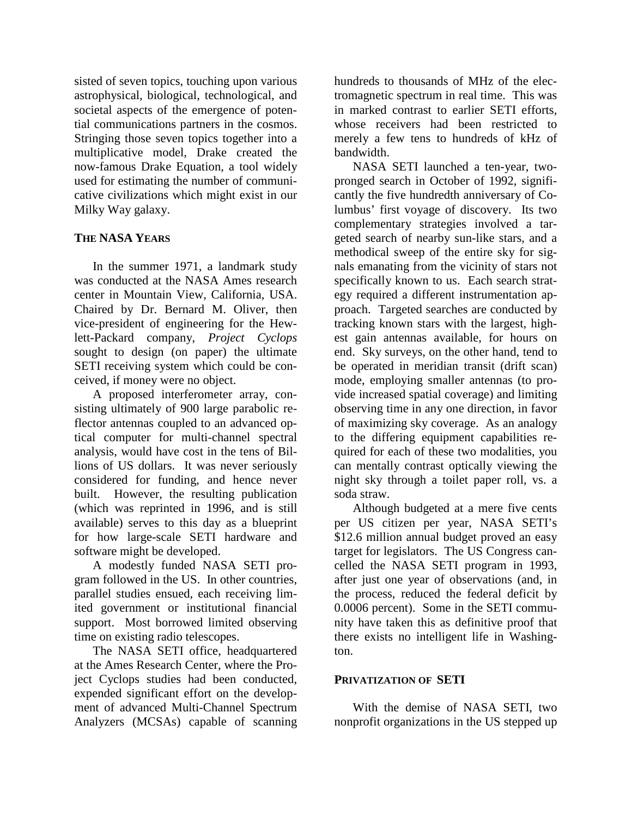sisted of seven topics, touching upon various astrophysical, biological, technological, and societal aspects of the emergence of potential communications partners in the cosmos. Stringing those seven topics together into a multiplicative model, Drake created the now-famous Drake Equation, a tool widely used for estimating the number of communicative civilizations which might exist in our Milky Way galaxy.

## **THE NASA YEARS**

In the summer 1971, a landmark study was conducted at the NASA Ames research center in Mountain View, California, USA. Chaired by Dr. Bernard M. Oliver, then vice-president of engineering for the Hewlett-Packard company, *Project Cyclops* sought to design (on paper) the ultimate SETI receiving system which could be conceived, if money were no object.

A proposed interferometer array, consisting ultimately of 900 large parabolic reflector antennas coupled to an advanced optical computer for multi-channel spectral analysis, would have cost in the tens of Billions of US dollars. It was never seriously considered for funding, and hence never built. However, the resulting publication (which was reprinted in 1996, and is still available) serves to this day as a blueprint for how large-scale SETI hardware and software might be developed.

A modestly funded NASA SETI program followed in the US. In other countries, parallel studies ensued, each receiving limited government or institutional financial support. Most borrowed limited observing time on existing radio telescopes.

The NASA SETI office, headquartered at the Ames Research Center, where the Project Cyclops studies had been conducted, expended significant effort on the development of advanced Multi-Channel Spectrum Analyzers (MCSAs) capable of scanning

hundreds to thousands of MHz of the electromagnetic spectrum in real time. This was in marked contrast to earlier SETI efforts, whose receivers had been restricted to merely a few tens to hundreds of kHz of bandwidth.

NASA SETI launched a ten-year, twopronged search in October of 1992, significantly the five hundredth anniversary of Columbus' first voyage of discovery. Its two complementary strategies involved a targeted search of nearby sun-like stars, and a methodical sweep of the entire sky for signals emanating from the vicinity of stars not specifically known to us. Each search strategy required a different instrumentation approach. Targeted searches are conducted by tracking known stars with the largest, highest gain antennas available, for hours on end. Sky surveys, on the other hand, tend to be operated in meridian transit (drift scan) mode, employing smaller antennas (to provide increased spatial coverage) and limiting observing time in any one direction, in favor of maximizing sky coverage. As an analogy to the differing equipment capabilities required for each of these two modalities, you can mentally contrast optically viewing the night sky through a toilet paper roll, vs. a soda straw.

Although budgeted at a mere five cents per US citizen per year, NASA SETI's \$12.6 million annual budget proved an easy target for legislators. The US Congress cancelled the NASA SETI program in 1993, after just one year of observations (and, in the process, reduced the federal deficit by 0.0006 percent). Some in the SETI community have taken this as definitive proof that there exists no intelligent life in Washington.

### **PRIVATIZATION OF SETI**

With the demise of NASA SETI, two nonprofit organizations in the US stepped up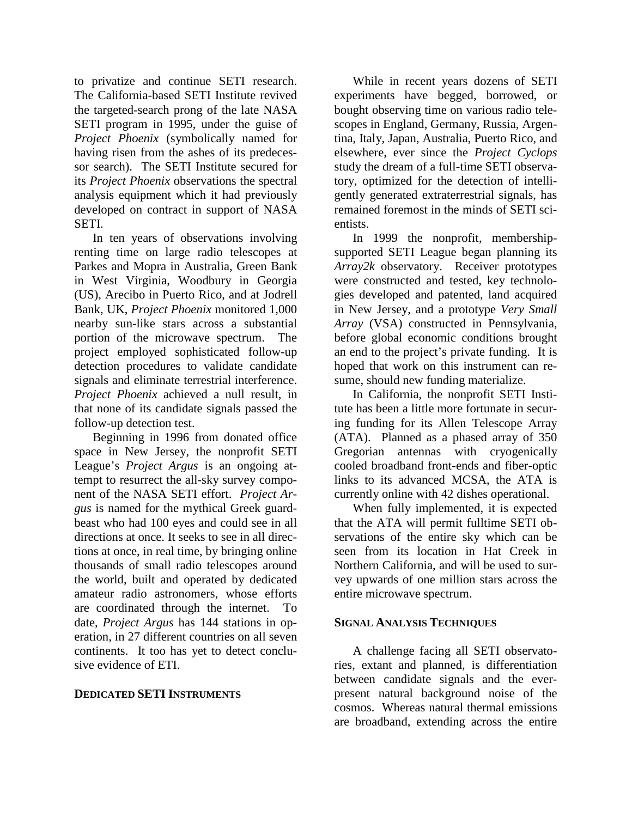to privatize and continue SETI research. The California-based SETI Institute revived the targeted-search prong of the late NASA SETI program in 1995, under the guise of *Project Phoenix* (symbolically named for having risen from the ashes of its predecessor search). The SETI Institute secured for its *Project Phoenix* observations the spectral analysis equipment which it had previously developed on contract in support of NASA SETI.

In ten years of observations involving renting time on large radio telescopes at Parkes and Mopra in Australia, Green Bank in West Virginia, Woodbury in Georgia (US), Arecibo in Puerto Rico, and at Jodrell Bank, UK, *Project Phoenix* monitored 1,000 nearby sun-like stars across a substantial portion of the microwave spectrum. The project employed sophisticated follow-up detection procedures to validate candidate signals and eliminate terrestrial interference. *Project Phoenix* achieved a null result, in that none of its candidate signals passed the follow-up detection test.

Beginning in 1996 from donated office space in New Jersey, the nonprofit SETI League's *Project Argus* is an ongoing attempt to resurrect the all-sky survey component of the NASA SETI effort. *Project Argus* is named for the mythical Greek guardbeast who had 100 eyes and could see in all directions at once. It seeks to see in all directions at once, in real time, by bringing online thousands of small radio telescopes around the world, built and operated by dedicated amateur radio astronomers, whose efforts are coordinated through the internet. To date, *Project Argus* has 144 stations in operation, in 27 different countries on all seven continents. It too has yet to detect conclusive evidence of ETI.

### **DEDICATED SETI INSTRUMENTS**

While in recent years dozens of SETI experiments have begged, borrowed, or bought observing time on various radio telescopes in England, Germany, Russia, Argentina, Italy, Japan, Australia, Puerto Rico, and elsewhere, ever since the *Project Cyclops* study the dream of a full-time SETI observatory, optimized for the detection of intelligently generated extraterrestrial signals, has remained foremost in the minds of SETI scientists.

In 1999 the nonprofit, membershipsupported SETI League began planning its *Array2k* observatory. Receiver prototypes were constructed and tested, key technologies developed and patented, land acquired in New Jersey, and a prototype *Very Small Array* (VSA) constructed in Pennsylvania, before global economic conditions brought an end to the project's private funding. It is hoped that work on this instrument can resume, should new funding materialize.

In California, the nonprofit SETI Institute has been a little more fortunate in securing funding for its Allen Telescope Array (ATA). Planned as a phased array of 350 Gregorian antennas with cryogenically cooled broadband front-ends and fiber-optic links to its advanced MCSA, the ATA is currently online with 42 dishes operational.

When fully implemented, it is expected that the ATA will permit fulltime SETI observations of the entire sky which can be seen from its location in Hat Creek in Northern California, and will be used to survey upwards of one million stars across the entire microwave spectrum.

### **SIGNAL ANALYSIS TECHNIQUES**

A challenge facing all SETI observatories, extant and planned, is differentiation between candidate signals and the everpresent natural background noise of the cosmos. Whereas natural thermal emissions are broadband, extending across the entire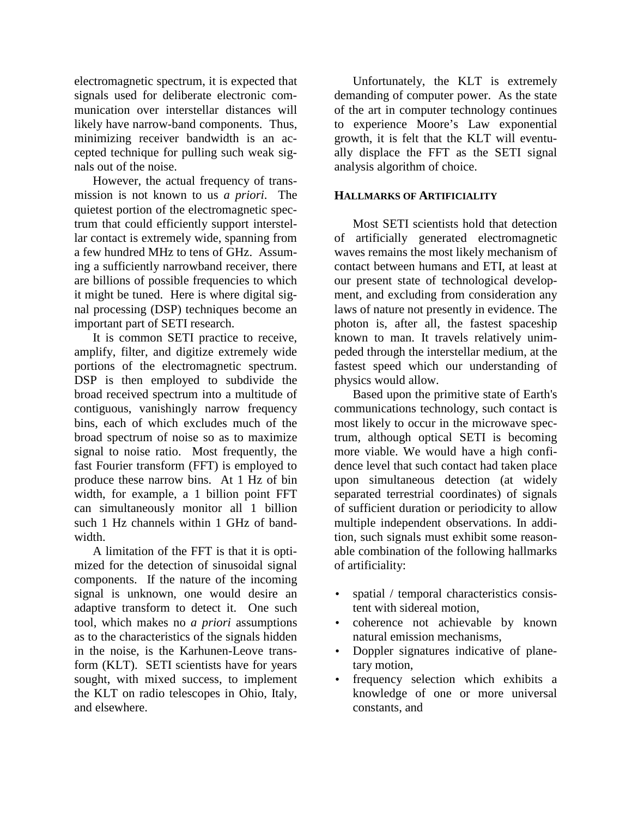electromagnetic spectrum, it is expected that signals used for deliberate electronic communication over interstellar distances will likely have narrow-band components. Thus, minimizing receiver bandwidth is an accepted technique for pulling such weak signals out of the noise.

However, the actual frequency of transmission is not known to us *a priori*. The quietest portion of the electromagnetic spectrum that could efficiently support interstellar contact is extremely wide, spanning from a few hundred MHz to tens of GHz. Assuming a sufficiently narrowband receiver, there are billions of possible frequencies to which it might be tuned. Here is where digital signal processing (DSP) techniques become an important part of SETI research.

It is common SETI practice to receive, amplify, filter, and digitize extremely wide portions of the electromagnetic spectrum. DSP is then employed to subdivide the broad received spectrum into a multitude of contiguous, vanishingly narrow frequency bins, each of which excludes much of the broad spectrum of noise so as to maximize signal to noise ratio. Most frequently, the fast Fourier transform (FFT) is employed to produce these narrow bins. At 1 Hz of bin width, for example, a 1 billion point FFT can simultaneously monitor all 1 billion such 1 Hz channels within 1 GHz of bandwidth.

A limitation of the FFT is that it is optimized for the detection of sinusoidal signal components. If the nature of the incoming signal is unknown, one would desire an adaptive transform to detect it. One such tool, which makes no *a priori* assumptions as to the characteristics of the signals hidden in the noise, is the Karhunen-Leove transform (KLT). SETI scientists have for years sought, with mixed success, to implement the KLT on radio telescopes in Ohio, Italy, and elsewhere.

Unfortunately, the KLT is extremely demanding of computer power. As the state of the art in computer technology continues to experience Moore's Law exponential growth, it is felt that the KLT will eventually displace the FFT as the SETI signal analysis algorithm of choice.

### **HALLMARKS OF ARTIFICIALITY**

Most SETI scientists hold that detection of artificially generated electromagnetic waves remains the most likely mechanism of contact between humans and ETI, at least at our present state of technological development, and excluding from consideration any laws of nature not presently in evidence. The photon is, after all, the fastest spaceship known to man. It travels relatively unimpeded through the interstellar medium, at the fastest speed which our understanding of physics would allow.

Based upon the primitive state of Earth's communications technology, such contact is most likely to occur in the microwave spectrum, although optical SETI is becoming more viable. We would have a high confidence level that such contact had taken place upon simultaneous detection (at widely separated terrestrial coordinates) of signals of sufficient duration or periodicity to allow multiple independent observations. In addition, such signals must exhibit some reasonable combination of the following hallmarks of artificiality:

- spatial / temporal characteristics consistent with sidereal motion,
- coherence not achievable by known natural emission mechanisms,
- Doppler signatures indicative of planetary motion,
- frequency selection which exhibits a knowledge of one or more universal constants, and